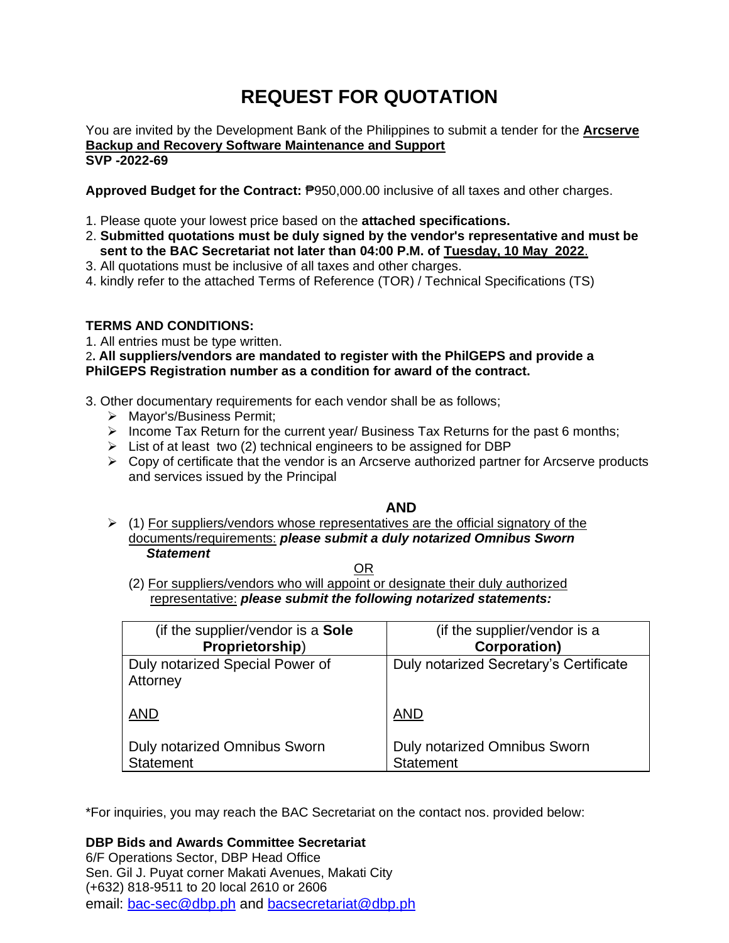# **REQUEST FOR QUOTATION**

You are invited by the Development Bank of the Philippines to submit a tender for the **Arcserve Backup and Recovery Software Maintenance and Support SVP -2022-69**

**Approved Budget for the Contract:** ₱950,000.00 inclusive of all taxes and other charges.

- 1. Please quote your lowest price based on the **attached specifications.**
- 2. **Submitted quotations must be duly signed by the vendor's representative and must be sent to the BAC Secretariat not later than 04:00 P.M. of Tuesday, 10 May 2022**.
- 3. All quotations must be inclusive of all taxes and other charges.
- 4. kindly refer to the attached Terms of Reference (TOR) / Technical Specifications (TS)

# **TERMS AND CONDITIONS:**

1. All entries must be type written.

2**. All suppliers/vendors are mandated to register with the PhilGEPS and provide a PhilGEPS Registration number as a condition for award of the contract.**

- 3. Other documentary requirements for each vendor shall be as follows;
	- ➢ Mayor's/Business Permit;
	- ➢ Income Tax Return for the current year/ Business Tax Returns for the past 6 months;
	- $\triangleright$  List of at least two (2) technical engineers to be assigned for DBP
	- $\triangleright$  Copy of certificate that the vendor is an Arcserve authorized partner for Arcserve products and services issued by the Principal

**AND**

 $\triangleright$  (1) For suppliers/vendors whose representatives are the official signatory of the documents/requirements: *please submit a duly notarized Omnibus Sworn Statement*

<u>OR Starting and the Starting of the Starting and Starting and Starting and Starting and Starting and Starting and Starting and Starting and Starting and Starting and Starting and Starting and Starting and Starting and Sta</u>

(2) For suppliers/vendors who will appoint or designate their duly authorized representative: *please submit the following notarized statements:*

| (if the supplier/vendor is a Sole           | (if the supplier/vendor is a           |
|---------------------------------------------|----------------------------------------|
| Proprietorship)                             | <b>Corporation)</b>                    |
| Duly notarized Special Power of<br>Attorney | Duly notarized Secretary's Certificate |
| <b>AND</b>                                  | <b>AND</b>                             |
| <b>Duly notarized Omnibus Sworn</b>         | Duly notarized Omnibus Sworn           |
| <b>Statement</b>                            | <b>Statement</b>                       |

\*For inquiries, you may reach the BAC Secretariat on the contact nos. provided below:

**DBP Bids and Awards Committee Secretariat** 

6/F Operations Sector, DBP Head Office Sen. Gil J. Puyat corner Makati Avenues, Makati City (+632) 818-9511 to 20 local 2610 or 2606 email: [bac-sec@dbp.ph](mailto:bac-sec@dbp.ph) and [bacsecretariat@dbp.ph](mailto:bacsecretariat@dbp.ph)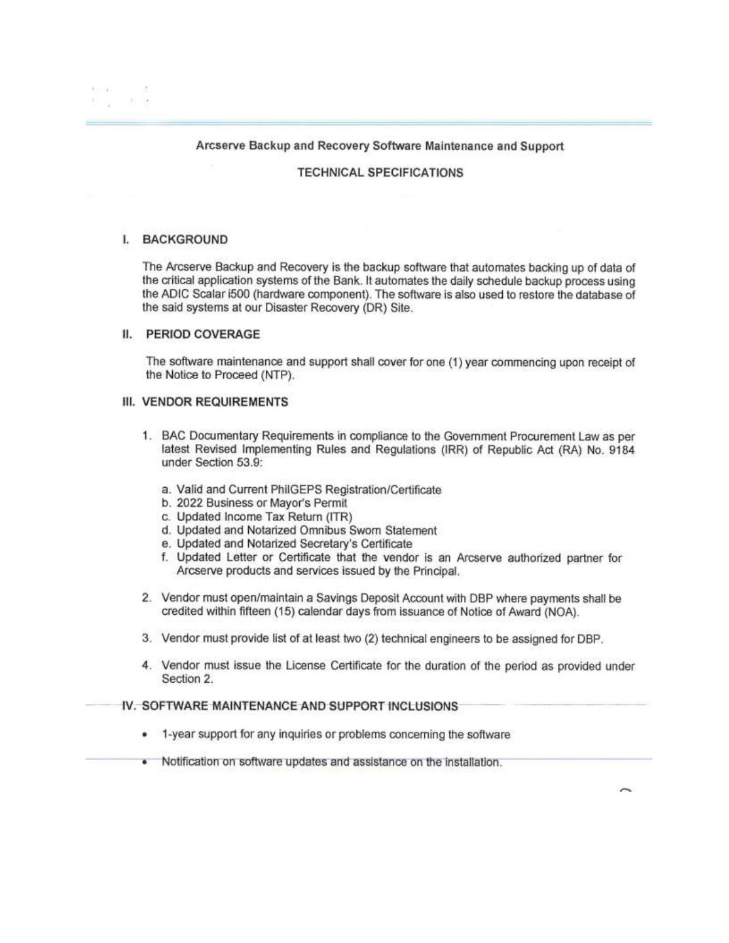#### Arcserve Backup and Recovery Software Maintenance and Support

#### **TECHNICAL SPECIFICATIONS**

#### **L. BACKGROUND**

The Arcserve Backup and Recovery is the backup software that automates backing up of data of the critical application systems of the Bank. It automates the daily schedule backup process using the ADIC Scalar i500 (hardware component). The software is also used to restore the database of the said systems at our Disaster Recovery (DR) Site.

### II. PERIOD COVERAGE

The software maintenance and support shall cover for one (1) year commencing upon receipt of the Notice to Proceed (NTP).

#### **III. VENDOR REQUIREMENTS**

- 1. BAC Documentary Requirements in compliance to the Government Procurement Law as per latest Revised Implementing Rules and Regulations (IRR) of Republic Act (RA) No. 9184 under Section 53.9:
	- a. Valid and Current PhilGEPS Registration/Certificate
	- b. 2022 Business or Mayor's Permit
	- c. Updated Income Tax Return (ITR)
	- d. Updated and Notarized Omnibus Sworn Statement
	- e. Updated and Notarized Secretary's Certificate
	- f. Updated Letter or Certificate that the vendor is an Arcserve authorized partner for Arcserve products and services issued by the Principal.
- 2. Vendor must open/maintain a Savings Deposit Account with DBP where payments shall be credited within fifteen (15) calendar days from issuance of Notice of Award (NOA).
- 3. Vendor must provide list of at least two (2) technical engineers to be assigned for DBP.
- 4. Vendor must issue the License Certificate for the duration of the period as provided under Section 2.

# IV. SOFTWARE MAINTENANCE AND SUPPORT INCLUSIONS

- 1-year support for any inquiries or problems concerning the software ٠
- . Notification on software updates and assistance on the installation.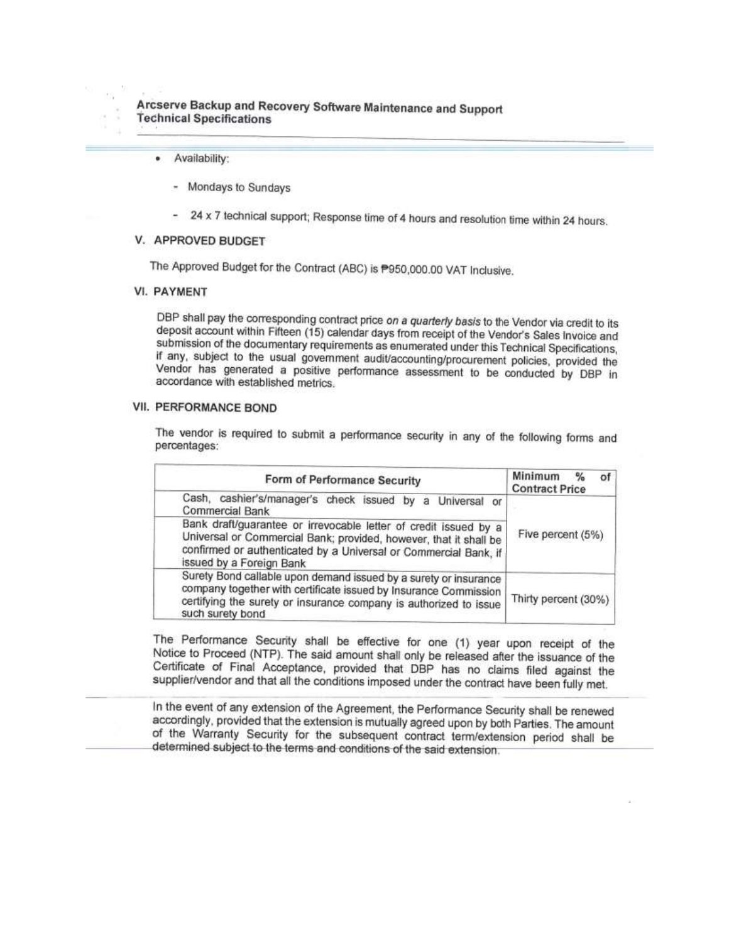- Availability:  $\bullet$ 
	- Mondays to Sundays
	- 24 x 7 technical support; Response time of 4 hours and resolution time within 24 hours.

#### V. APPROVED BUDGET

The Approved Budget for the Contract (ABC) is P950,000.00 VAT Inclusive.

#### **VI. PAYMENT**

DBP shall pay the corresponding contract price on a quarterly basis to the Vendor via credit to its deposit account within Fifteen (15) calendar days from receipt of the Vendor's Sales Invoice and submission of the documentary requirements as enumerated under this Technical Specifications, if any, subject to the usual government audit/accounting/procurement policies, provided the Vendor has generated a positive performance assessment to be conducted by DBP in accordance with established metrics.

# VII. PERFORMANCE BOND

The vendor is required to submit a performance security in any of the following forms and percentages:

| Form of Performance Security                                                                                                                                                                                                          | of<br>Minimum<br>$\frac{9}{6}$<br><b>Contract Price</b> |
|---------------------------------------------------------------------------------------------------------------------------------------------------------------------------------------------------------------------------------------|---------------------------------------------------------|
| Cash, cashier's/manager's check issued by a Universal or<br>Commercial Bank                                                                                                                                                           |                                                         |
| Bank draft/guarantee or irrevocable letter of credit issued by a<br>Universal or Commercial Bank; provided, however, that it shall be<br>confirmed or authenticated by a Universal or Commercial Bank, if<br>issued by a Foreign Bank | Five percent (5%)                                       |
| Surety Bond callable upon demand issued by a surety or insurance<br>company together with certificate issued by Insurance Commission<br>certifying the surety or insurance company is authorized to issue<br>such surety bond         | Thirty percent (30%)                                    |

The Performance Security shall be effective for one (1) year upon receipt of the Notice to Proceed (NTP). The said amount shall only be released after the issuance of the Certificate of Final Acceptance, provided that DBP has no claims filed against the supplier/vendor and that all the conditions imposed under the contract have been fully met.

In the event of any extension of the Agreement, the Performance Security shall be renewed accordingly, provided that the extension is mutually agreed upon by both Parties. The amount of the Warranty Security for the subsequent contract term/extension period shall be determined subject to the terms and conditions of the said extension.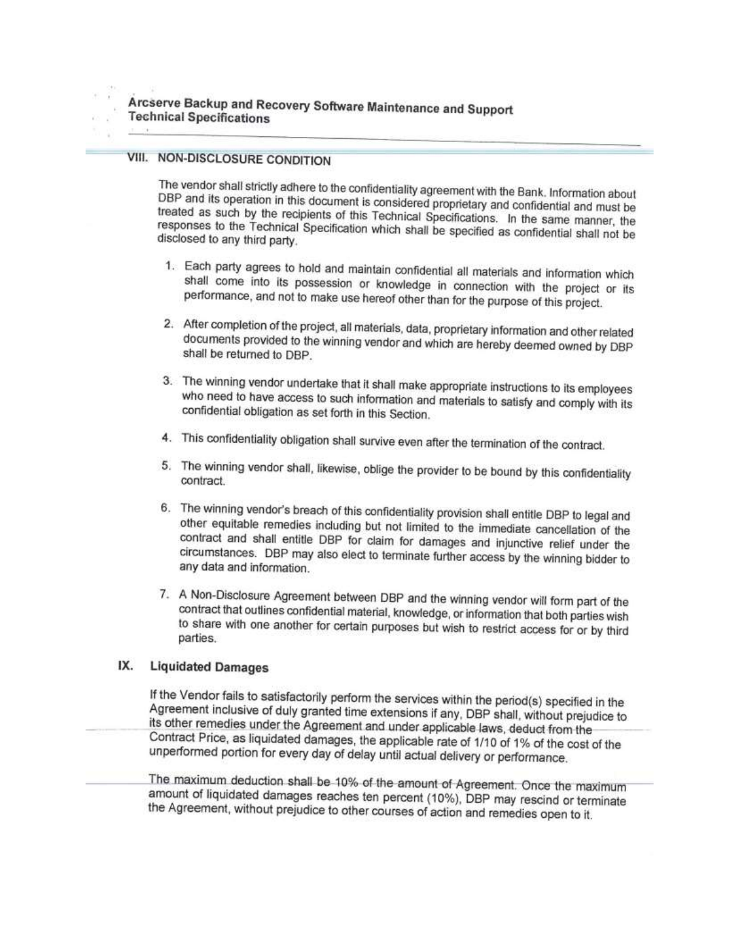# VIII. NON-DISCLOSURE CONDITION

The vendor shall strictly adhere to the confidentiality agreement with the Bank. Information about DBP and its operation in this document is considered proprietary and confidential and must be treated as such by the recipients of this Technical Specifications. In the same manner, the responses to the Technical Specification which shall be specified as confidential shall not be disclosed to any third party.

- 1. Each party agrees to hold and maintain confidential all materials and information which shall come into its possession or knowledge in connection with the project or its performance, and not to make use hereof other than for the purpose of this project.
- 2. After completion of the project, all materials, data, proprietary information and other related documents provided to the winning vendor and which are hereby deemed owned by DBP shall be returned to DBP.
- 3. The winning vendor undertake that it shall make appropriate instructions to its employees who need to have access to such information and materials to satisfy and comply with its confidential obligation as set forth in this Section.
- 4. This confidentiality obligation shall survive even after the termination of the contract.
- 5. The winning vendor shall, likewise, oblige the provider to be bound by this confidentiality contract.
- 6. The winning vendor's breach of this confidentiality provision shall entitle DBP to legal and other equitable remedies including but not limited to the immediate cancellation of the contract and shall entitle DBP for claim for damages and injunctive relief under the circumstances. DBP may also elect to terminate further access by the winning bidder to any data and information.
- 7. A Non-Disclosure Agreement between DBP and the winning vendor will form part of the contract that outlines confidential material, knowledge, or information that both parties wish to share with one another for certain purposes but wish to restrict access for or by third parties.

#### IX. **Liquidated Damages**

If the Vendor fails to satisfactorily perform the services within the period(s) specified in the Agreement inclusive of duly granted time extensions if any, DBP shall, without prejudice to its other remedies under the Agreement and under applicable laws, deduct from the Contract Price, as liquidated damages, the applicable rate of 1/10 of 1% of the cost of the unperformed portion for every day of delay until actual delivery or performance.

The maximum deduction shall be 10% of the amount of Agreement. Once the maximum amount of liquidated damages reaches ten percent (10%), DBP may rescind or terminate the Agreement, without prejudice to other courses of action and remedies open to it.